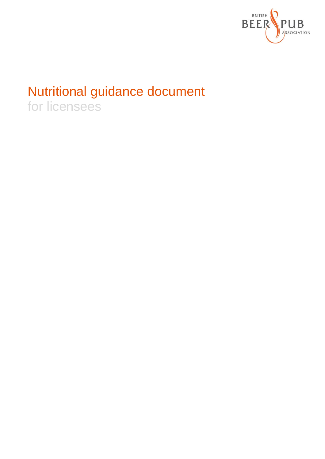

# Nutritional guidance document

for licensees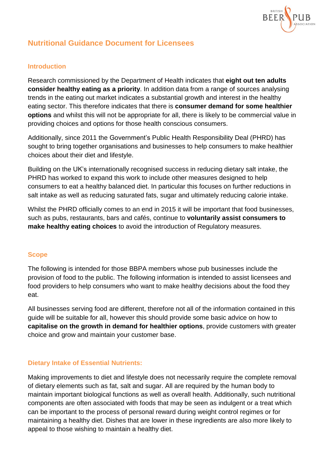

## **Nutritional Guidance Document for Licensees**

## **Introduction**

Research commissioned by the Department of Health indicates that **eight out ten adults consider healthy eating as a priority**. In addition data from a range of sources analysing trends in the eating out market indicates a substantial growth and interest in the healthy eating sector. This therefore indicates that there is **consumer demand for some healthier options** and whilst this will not be appropriate for all, there is likely to be commercial value in providing choices and options for those health conscious consumers.

Additionally, since 2011 the Government's Public Health Responsibility Deal (PHRD) has sought to bring together organisations and businesses to help consumers to make healthier choices about their diet and lifestyle.

Building on the UK's internationally recognised success in reducing dietary salt intake, the PHRD has worked to expand this work to include other measures designed to help consumers to eat a healthy balanced diet. In particular this focuses on further reductions in salt intake as well as reducing saturated fats, sugar and ultimately reducing calorie intake.

Whilst the PHRD officially comes to an end in 2015 it will be important that food businesses, such as pubs, restaurants, bars and cafés, continue to **voluntarily assist consumers to make healthy eating choices** to avoid the introduction of Regulatory measures.

## **Scope**

The following is intended for those BBPA members whose pub businesses include the provision of food to the public. The following information is intended to assist licensees and food providers to help consumers who want to make healthy decisions about the food they eat.

All businesses serving food are different, therefore not all of the information contained in this guide will be suitable for all, however this should provide some basic advice on how to **capitalise on the growth in demand for healthier options**, provide customers with greater choice and grow and maintain your customer base.

#### **Dietary Intake of Essential Nutrients:**

Making improvements to diet and lifestyle does not necessarily require the complete removal of dietary elements such as fat, salt and sugar. All are required by the human body to maintain important biological functions as well as overall health. Additionally, such nutritional components are often associated with foods that may be seen as indulgent or a treat which can be important to the process of personal reward during weight control regimes or for maintaining a healthy diet. Dishes that are lower in these ingredients are also more likely to appeal to those wishing to maintain a healthy diet.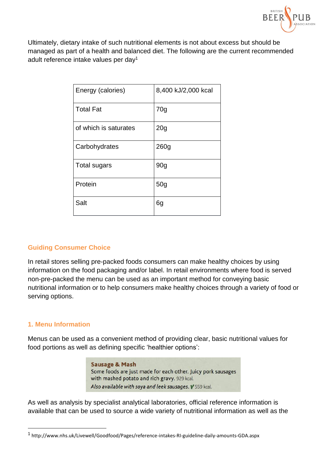

Ultimately, dietary intake of such nutritional elements is not about excess but should be managed as part of a health and balanced diet. The following are the current recommended adult reference intake values per day<sup>1</sup>

| Energy (calories)     | 8,400 kJ/2,000 kcal |
|-----------------------|---------------------|
| <b>Total Fat</b>      | 70 <sub>g</sub>     |
| of which is saturates | 20 <sub>g</sub>     |
| Carbohydrates         | 260 <sub>g</sub>    |
| <b>Total sugars</b>   | 90 <sub>g</sub>     |
| Protein               | 50 <sub>g</sub>     |
| Salt                  | 6g                  |

## **Guiding Consumer Choice**

In retail stores selling pre-packed foods consumers can make healthy choices by using information on the food packaging and/or label. In retail environments where food is served non-pre-packed the menu can be used as an important method for conveying basic nutritional information or to help consumers make healthy choices through a variety of food or serving options.

#### **1. Menu Information**

 $\overline{a}$ 

Menus can be used as a convenient method of providing clear, basic nutritional values for food portions as well as defining specific 'healthier options':

> **Sausage & Mash** Some foods are just made for each other. Juicy pork sausages with mashed potato and rich gravy. 929 kcal. Also available with soya and leek sausages. V 559 kcal.

As well as analysis by specialist analytical laboratories, official reference information is available that can be used to source a wide variety of nutritional information as well as the

<sup>1</sup> http://www.nhs.uk/Livewell/Goodfood/Pages/reference-intakes-RI-guideline-daily-amounts-GDA.aspx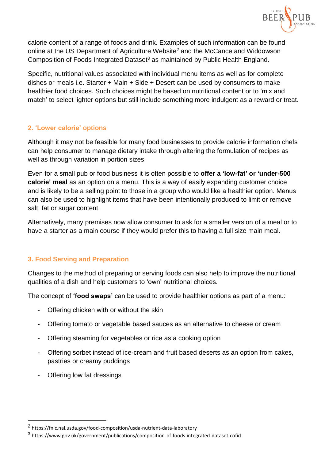

calorie content of a range of foods and drink. Examples of such information can be found online at the US Department of Agriculture Website<sup>2</sup> and the McCance and Widdowson Composition of Foods Integrated Dataset<sup>3</sup> as maintained by Public Health England.

Specific, nutritional values associated with individual menu items as well as for complete dishes or meals i.e. Starter + Main + Side + Desert can be used by consumers to make healthier food choices. Such choices might be based on nutritional content or to 'mix and match' to select lighter options but still include something more indulgent as a reward or treat.

## **2. 'Lower calorie' options**

Although it may not be feasible for many food businesses to provide calorie information chefs can help consumer to manage dietary intake through altering the formulation of recipes as well as through variation in portion sizes.

Even for a small pub or food business it is often possible to **offer a 'low-fat' or 'under-500 calorie' meal** as an option on a menu. This is a way of easily expanding customer choice and is likely to be a selling point to those in a group who would like a healthier option. Menus can also be used to highlight items that have been intentionally produced to limit or remove salt, fat or sugar content.

Alternatively, many premises now allow consumer to ask for a smaller version of a meal or to have a starter as a main course if they would prefer this to having a full size main meal.

## **3. Food Serving and Preparation**

Changes to the method of preparing or serving foods can also help to improve the nutritional qualities of a dish and help customers to 'own' nutritional choices.

The concept of **'food swaps'** can be used to provide healthier options as part of a menu:

- Offering chicken with or without the skin
- Offering tomato or vegetable based sauces as an alternative to cheese or cream
- Offering steaming for vegetables or rice as a cooking option
- Offering sorbet instead of ice-cream and fruit based deserts as an option from cakes, pastries or creamy puddings
- Offering low fat dressings

 $\overline{a}$ 

<sup>2</sup> https://fnic.nal.usda.gov/food-composition/usda-nutrient-data-laboratory

<sup>3</sup> https://www.gov.uk/government/publications/composition-of-foods-integrated-dataset-cofid